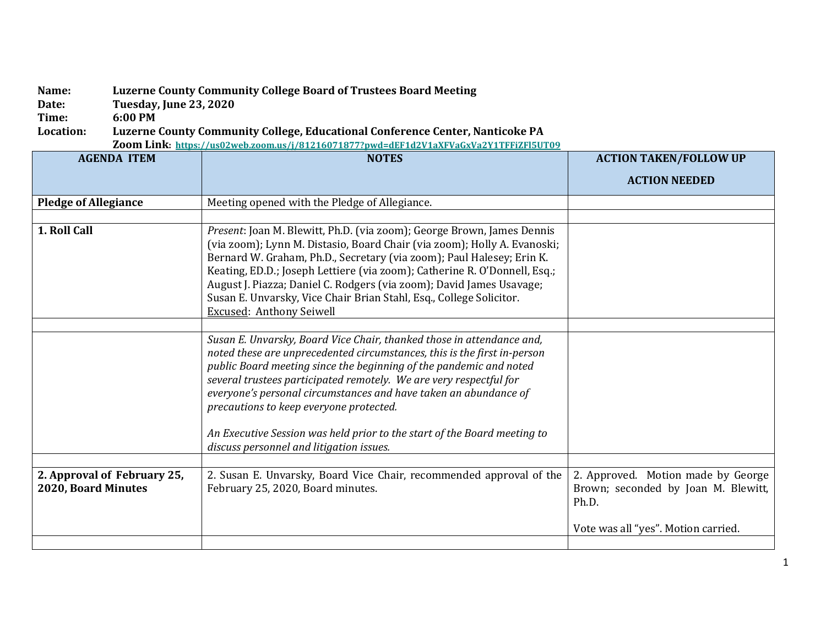## **Name: Luzerne County Community College Board of Trustees Board Meeting**

**Date: Tuesday, June 23, 2020**

**Time: 6:00 PM**

## **Location: Luzerne County Community College, Educational Conference Center, Nanticoke PA**

**Zoom Link:<https://us02web.zoom.us/j/81216071877?pwd=dEF1d2V1aXFVaGxVa2Y1TFFiZFl5UT09>**

| <b>AGENDA ITEM</b>                                 | <b>NOTES</b>                                                                                                                                                                                                                                                                                                                                                                                                                                                                                                                         | <b>ACTION TAKEN/FOLLOW UP</b>                                                      |
|----------------------------------------------------|--------------------------------------------------------------------------------------------------------------------------------------------------------------------------------------------------------------------------------------------------------------------------------------------------------------------------------------------------------------------------------------------------------------------------------------------------------------------------------------------------------------------------------------|------------------------------------------------------------------------------------|
|                                                    |                                                                                                                                                                                                                                                                                                                                                                                                                                                                                                                                      | <b>ACTION NEEDED</b>                                                               |
| <b>Pledge of Allegiance</b>                        | Meeting opened with the Pledge of Allegiance.                                                                                                                                                                                                                                                                                                                                                                                                                                                                                        |                                                                                    |
|                                                    |                                                                                                                                                                                                                                                                                                                                                                                                                                                                                                                                      |                                                                                    |
| 1. Roll Call                                       | Present: Joan M. Blewitt, Ph.D. (via zoom); George Brown, James Dennis<br>(via zoom); Lynn M. Distasio, Board Chair (via zoom); Holly A. Evanoski;<br>Bernard W. Graham, Ph.D., Secretary (via zoom); Paul Halesey; Erin K.<br>Keating, ED.D.; Joseph Lettiere (via zoom); Catherine R. O'Donnell, Esq.;<br>August J. Piazza; Daniel C. Rodgers (via zoom); David James Usavage;<br>Susan E. Unvarsky, Vice Chair Brian Stahl, Esq., College Solicitor.<br><b>Excused: Anthony Seiwell</b>                                           |                                                                                    |
|                                                    |                                                                                                                                                                                                                                                                                                                                                                                                                                                                                                                                      |                                                                                    |
|                                                    | Susan E. Unvarsky, Board Vice Chair, thanked those in attendance and,<br>noted these are unprecedented circumstances, this is the first in-person<br>public Board meeting since the beginning of the pandemic and noted<br>several trustees participated remotely. We are very respectful for<br>everyone's personal circumstances and have taken an abundance of<br>precautions to keep everyone protected.<br>An Executive Session was held prior to the start of the Board meeting to<br>discuss personnel and litigation issues. |                                                                                    |
|                                                    |                                                                                                                                                                                                                                                                                                                                                                                                                                                                                                                                      |                                                                                    |
| 2. Approval of February 25,<br>2020, Board Minutes | 2. Susan E. Unvarsky, Board Vice Chair, recommended approval of the<br>February 25, 2020, Board minutes.                                                                                                                                                                                                                                                                                                                                                                                                                             | 2. Approved. Motion made by George<br>Brown; seconded by Joan M. Blewitt,<br>Ph.D. |
|                                                    |                                                                                                                                                                                                                                                                                                                                                                                                                                                                                                                                      | Vote was all "yes". Motion carried.                                                |
|                                                    |                                                                                                                                                                                                                                                                                                                                                                                                                                                                                                                                      |                                                                                    |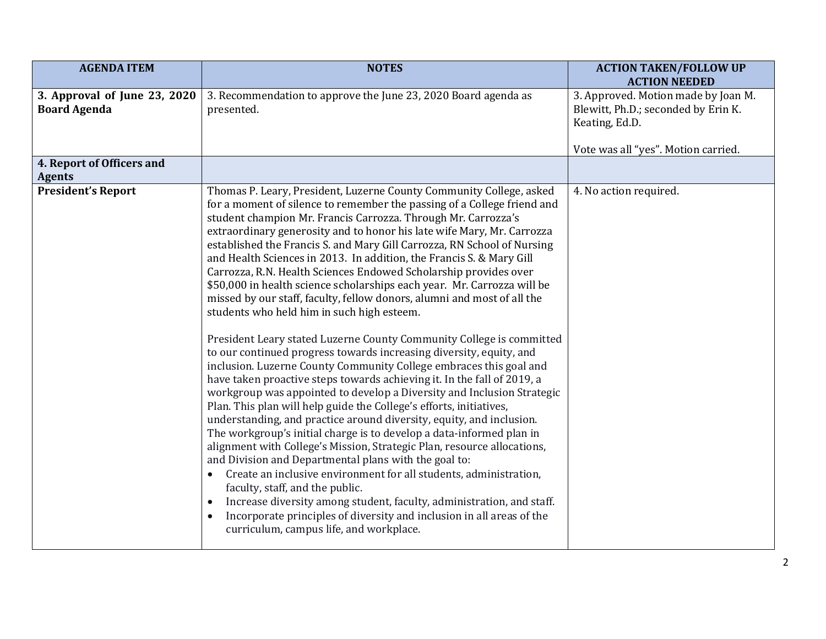| <b>AGENDA ITEM</b>                                  | <b>NOTES</b>                                                                                                                                                                                                                                                                                                                                                                                                                                                                                                                                                                                                                                                                                                                                                                                                                                                                                                                                                                                                                                                                                                                                                                                                                                                                                                                                                                                                                                                                                                                                                                                                                                                                                                                                                                | <b>ACTION TAKEN/FOLLOW UP</b><br><b>ACTION NEEDED</b>                                        |
|-----------------------------------------------------|-----------------------------------------------------------------------------------------------------------------------------------------------------------------------------------------------------------------------------------------------------------------------------------------------------------------------------------------------------------------------------------------------------------------------------------------------------------------------------------------------------------------------------------------------------------------------------------------------------------------------------------------------------------------------------------------------------------------------------------------------------------------------------------------------------------------------------------------------------------------------------------------------------------------------------------------------------------------------------------------------------------------------------------------------------------------------------------------------------------------------------------------------------------------------------------------------------------------------------------------------------------------------------------------------------------------------------------------------------------------------------------------------------------------------------------------------------------------------------------------------------------------------------------------------------------------------------------------------------------------------------------------------------------------------------------------------------------------------------------------------------------------------------|----------------------------------------------------------------------------------------------|
| 3. Approval of June 23, 2020<br><b>Board Agenda</b> | 3. Recommendation to approve the June 23, 2020 Board agenda as<br>presented.                                                                                                                                                                                                                                                                                                                                                                                                                                                                                                                                                                                                                                                                                                                                                                                                                                                                                                                                                                                                                                                                                                                                                                                                                                                                                                                                                                                                                                                                                                                                                                                                                                                                                                | 3. Approved. Motion made by Joan M.<br>Blewitt, Ph.D.; seconded by Erin K.<br>Keating, Ed.D. |
|                                                     |                                                                                                                                                                                                                                                                                                                                                                                                                                                                                                                                                                                                                                                                                                                                                                                                                                                                                                                                                                                                                                                                                                                                                                                                                                                                                                                                                                                                                                                                                                                                                                                                                                                                                                                                                                             | Vote was all "yes". Motion carried.                                                          |
| 4. Report of Officers and<br><b>Agents</b>          |                                                                                                                                                                                                                                                                                                                                                                                                                                                                                                                                                                                                                                                                                                                                                                                                                                                                                                                                                                                                                                                                                                                                                                                                                                                                                                                                                                                                                                                                                                                                                                                                                                                                                                                                                                             |                                                                                              |
| <b>President's Report</b>                           | Thomas P. Leary, President, Luzerne County Community College, asked<br>for a moment of silence to remember the passing of a College friend and<br>student champion Mr. Francis Carrozza. Through Mr. Carrozza's<br>extraordinary generosity and to honor his late wife Mary, Mr. Carrozza<br>established the Francis S. and Mary Gill Carrozza, RN School of Nursing<br>and Health Sciences in 2013. In addition, the Francis S. & Mary Gill<br>Carrozza, R.N. Health Sciences Endowed Scholarship provides over<br>\$50,000 in health science scholarships each year. Mr. Carrozza will be<br>missed by our staff, faculty, fellow donors, alumni and most of all the<br>students who held him in such high esteem.<br>President Leary stated Luzerne County Community College is committed<br>to our continued progress towards increasing diversity, equity, and<br>inclusion. Luzerne County Community College embraces this goal and<br>have taken proactive steps towards achieving it. In the fall of 2019, a<br>workgroup was appointed to develop a Diversity and Inclusion Strategic<br>Plan. This plan will help guide the College's efforts, initiatives,<br>understanding, and practice around diversity, equity, and inclusion.<br>The workgroup's initial charge is to develop a data-informed plan in<br>alignment with College's Mission, Strategic Plan, resource allocations,<br>and Division and Departmental plans with the goal to:<br>Create an inclusive environment for all students, administration,<br>faculty, staff, and the public.<br>Increase diversity among student, faculty, administration, and staff.<br>$\bullet$<br>Incorporate principles of diversity and inclusion in all areas of the<br>curriculum, campus life, and workplace. | 4. No action required.                                                                       |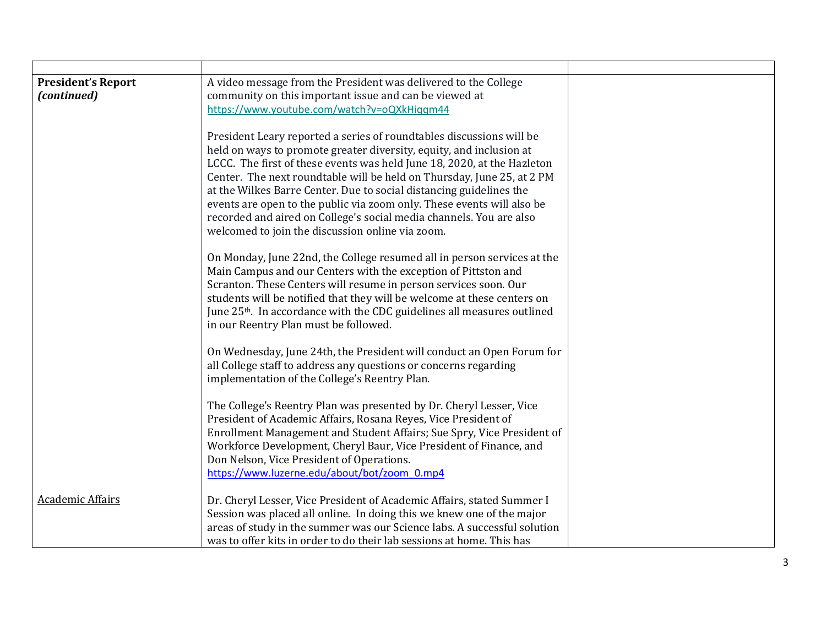| <b>President's Report</b> | A video message from the President was delivered to the College                                                                               |  |
|---------------------------|-----------------------------------------------------------------------------------------------------------------------------------------------|--|
| (continued)               | community on this important issue and can be viewed at                                                                                        |  |
|                           | https://www.youtube.com/watch?v=oQXkHiggm44                                                                                                   |  |
|                           | President Leary reported a series of roundtables discussions will be                                                                          |  |
|                           | held on ways to promote greater diversity, equity, and inclusion at                                                                           |  |
|                           | LCCC. The first of these events was held June 18, 2020, at the Hazleton                                                                       |  |
|                           | Center. The next roundtable will be held on Thursday, June 25, at 2 PM                                                                        |  |
|                           | at the Wilkes Barre Center. Due to social distancing guidelines the                                                                           |  |
|                           | events are open to the public via zoom only. These events will also be<br>recorded and aired on College's social media channels. You are also |  |
|                           | welcomed to join the discussion online via zoom.                                                                                              |  |
|                           |                                                                                                                                               |  |
|                           | On Monday, June 22nd, the College resumed all in person services at the                                                                       |  |
|                           | Main Campus and our Centers with the exception of Pittston and                                                                                |  |
|                           | Scranton. These Centers will resume in person services soon. Our                                                                              |  |
|                           | students will be notified that they will be welcome at these centers on                                                                       |  |
|                           | June 25 <sup>th</sup> . In accordance with the CDC guidelines all measures outlined<br>in our Reentry Plan must be followed.                  |  |
|                           |                                                                                                                                               |  |
|                           | On Wednesday, June 24th, the President will conduct an Open Forum for                                                                         |  |
|                           | all College staff to address any questions or concerns regarding                                                                              |  |
|                           | implementation of the College's Reentry Plan.                                                                                                 |  |
|                           | The College's Reentry Plan was presented by Dr. Cheryl Lesser, Vice                                                                           |  |
|                           | President of Academic Affairs, Rosana Reyes, Vice President of                                                                                |  |
|                           | Enrollment Management and Student Affairs; Sue Spry, Vice President of                                                                        |  |
|                           | Workforce Development, Cheryl Baur, Vice President of Finance, and                                                                            |  |
|                           | Don Nelson, Vice President of Operations.                                                                                                     |  |
|                           | https://www.luzerne.edu/about/bot/zoom 0.mp4                                                                                                  |  |
| <b>Academic Affairs</b>   | Dr. Cheryl Lesser, Vice President of Academic Affairs, stated Summer I                                                                        |  |
|                           | Session was placed all online. In doing this we knew one of the major                                                                         |  |
|                           | areas of study in the summer was our Science labs. A successful solution                                                                      |  |
|                           | was to offer kits in order to do their lab sessions at home. This has                                                                         |  |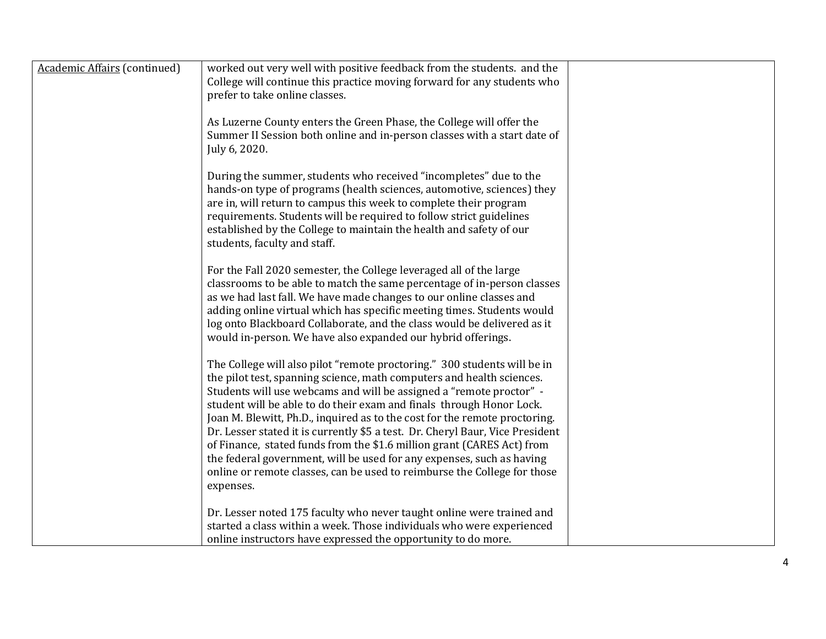| <b>Academic Affairs (continued)</b> | worked out very well with positive feedback from the students. and the<br>College will continue this practice moving forward for any students who<br>prefer to take online classes.                                                                                                                                                                                                                                                                                                                                                                                                                                                                                                                         |  |
|-------------------------------------|-------------------------------------------------------------------------------------------------------------------------------------------------------------------------------------------------------------------------------------------------------------------------------------------------------------------------------------------------------------------------------------------------------------------------------------------------------------------------------------------------------------------------------------------------------------------------------------------------------------------------------------------------------------------------------------------------------------|--|
|                                     | As Luzerne County enters the Green Phase, the College will offer the<br>Summer II Session both online and in-person classes with a start date of<br>July 6, 2020.                                                                                                                                                                                                                                                                                                                                                                                                                                                                                                                                           |  |
|                                     | During the summer, students who received "incompletes" due to the<br>hands-on type of programs (health sciences, automotive, sciences) they<br>are in, will return to campus this week to complete their program<br>requirements. Students will be required to follow strict guidelines<br>established by the College to maintain the health and safety of our<br>students, faculty and staff.                                                                                                                                                                                                                                                                                                              |  |
|                                     | For the Fall 2020 semester, the College leveraged all of the large<br>classrooms to be able to match the same percentage of in-person classes<br>as we had last fall. We have made changes to our online classes and<br>adding online virtual which has specific meeting times. Students would<br>log onto Blackboard Collaborate, and the class would be delivered as it<br>would in-person. We have also expanded our hybrid offerings.                                                                                                                                                                                                                                                                   |  |
|                                     | The College will also pilot "remote proctoring." 300 students will be in<br>the pilot test, spanning science, math computers and health sciences.<br>Students will use webcams and will be assigned a "remote proctor" -<br>student will be able to do their exam and finals through Honor Lock.<br>Joan M. Blewitt, Ph.D., inquired as to the cost for the remote proctoring.<br>Dr. Lesser stated it is currently \$5 a test. Dr. Cheryl Baur, Vice President<br>of Finance, stated funds from the \$1.6 million grant (CARES Act) from<br>the federal government, will be used for any expenses, such as having<br>online or remote classes, can be used to reimburse the College for those<br>expenses. |  |
|                                     | Dr. Lesser noted 175 faculty who never taught online were trained and<br>started a class within a week. Those individuals who were experienced<br>online instructors have expressed the opportunity to do more.                                                                                                                                                                                                                                                                                                                                                                                                                                                                                             |  |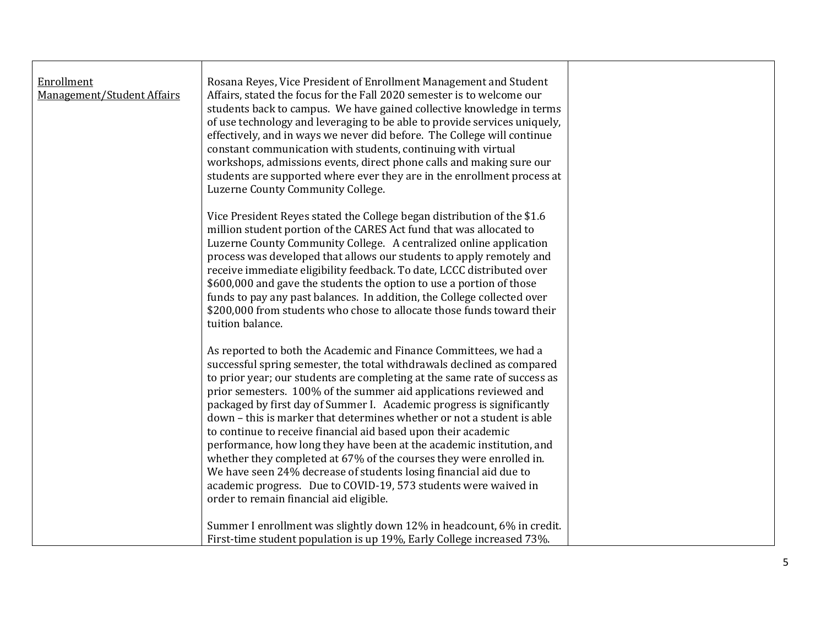| Enrollment<br>Management/Student Affairs | Rosana Reyes, Vice President of Enrollment Management and Student<br>Affairs, stated the focus for the Fall 2020 semester is to welcome our<br>students back to campus. We have gained collective knowledge in terms<br>of use technology and leveraging to be able to provide services uniquely,<br>effectively, and in ways we never did before. The College will continue<br>constant communication with students, continuing with virtual<br>workshops, admissions events, direct phone calls and making sure our<br>students are supported where ever they are in the enrollment process at<br>Luzerne County Community College.                                                                                                                                                                                                                 |  |
|------------------------------------------|-------------------------------------------------------------------------------------------------------------------------------------------------------------------------------------------------------------------------------------------------------------------------------------------------------------------------------------------------------------------------------------------------------------------------------------------------------------------------------------------------------------------------------------------------------------------------------------------------------------------------------------------------------------------------------------------------------------------------------------------------------------------------------------------------------------------------------------------------------|--|
|                                          | Vice President Reyes stated the College began distribution of the \$1.6<br>million student portion of the CARES Act fund that was allocated to<br>Luzerne County Community College. A centralized online application<br>process was developed that allows our students to apply remotely and<br>receive immediate eligibility feedback. To date, LCCC distributed over<br>\$600,000 and gave the students the option to use a portion of those<br>funds to pay any past balances. In addition, the College collected over<br>\$200,000 from students who chose to allocate those funds toward their<br>tuition balance.                                                                                                                                                                                                                               |  |
|                                          | As reported to both the Academic and Finance Committees, we had a<br>successful spring semester, the total withdrawals declined as compared<br>to prior year; our students are completing at the same rate of success as<br>prior semesters. 100% of the summer aid applications reviewed and<br>packaged by first day of Summer I. Academic progress is significantly<br>down - this is marker that determines whether or not a student is able<br>to continue to receive financial aid based upon their academic<br>performance, how long they have been at the academic institution, and<br>whether they completed at 67% of the courses they were enrolled in.<br>We have seen 24% decrease of students losing financial aid due to<br>academic progress. Due to COVID-19, 573 students were waived in<br>order to remain financial aid eligible. |  |
|                                          | Summer I enrollment was slightly down 12% in headcount, 6% in credit.<br>First-time student population is up 19%, Early College increased 73%.                                                                                                                                                                                                                                                                                                                                                                                                                                                                                                                                                                                                                                                                                                        |  |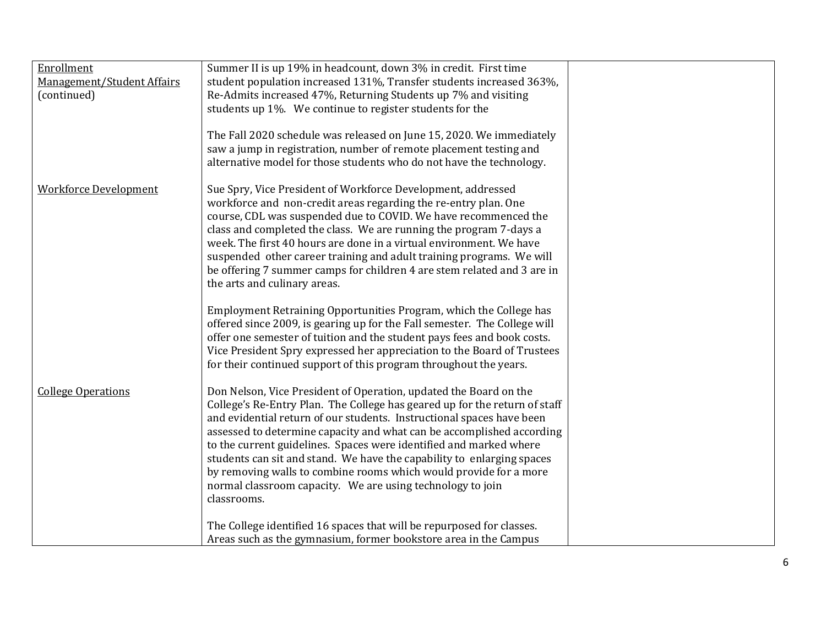| Enrollment                   | Summer II is up 19% in headcount, down 3% in credit. First time            |  |
|------------------------------|----------------------------------------------------------------------------|--|
|                              |                                                                            |  |
| Management/Student Affairs   | student population increased 131%, Transfer students increased 363%,       |  |
| (continued)                  | Re-Admits increased 47%, Returning Students up 7% and visiting             |  |
|                              | students up 1%. We continue to register students for the                   |  |
|                              |                                                                            |  |
|                              | The Fall 2020 schedule was released on June 15, 2020. We immediately       |  |
|                              | saw a jump in registration, number of remote placement testing and         |  |
|                              | alternative model for those students who do not have the technology.       |  |
|                              |                                                                            |  |
|                              |                                                                            |  |
| <b>Workforce Development</b> | Sue Spry, Vice President of Workforce Development, addressed               |  |
|                              | workforce and non-credit areas regarding the re-entry plan. One            |  |
|                              | course, CDL was suspended due to COVID. We have recommenced the            |  |
|                              | class and completed the class. We are running the program 7-days a         |  |
|                              | week. The first 40 hours are done in a virtual environment. We have        |  |
|                              | suspended other career training and adult training programs. We will       |  |
|                              | be offering 7 summer camps for children 4 are stem related and 3 are in    |  |
|                              | the arts and culinary areas.                                               |  |
|                              |                                                                            |  |
|                              | Employment Retraining Opportunities Program, which the College has         |  |
|                              |                                                                            |  |
|                              | offered since 2009, is gearing up for the Fall semester. The College will  |  |
|                              | offer one semester of tuition and the student pays fees and book costs.    |  |
|                              | Vice President Spry expressed her appreciation to the Board of Trustees    |  |
|                              | for their continued support of this program throughout the years.          |  |
| <b>College Operations</b>    | Don Nelson, Vice President of Operation, updated the Board on the          |  |
|                              | College's Re-Entry Plan. The College has geared up for the return of staff |  |
|                              |                                                                            |  |
|                              | and evidential return of our students. Instructional spaces have been      |  |
|                              | assessed to determine capacity and what can be accomplished according      |  |
|                              | to the current guidelines. Spaces were identified and marked where         |  |
|                              | students can sit and stand. We have the capability to enlarging spaces     |  |
|                              | by removing walls to combine rooms which would provide for a more          |  |
|                              | normal classroom capacity. We are using technology to join                 |  |
|                              | classrooms.                                                                |  |
|                              |                                                                            |  |
|                              | The College identified 16 spaces that will be repurposed for classes.      |  |
|                              | Areas such as the gymnasium, former bookstore area in the Campus           |  |
|                              |                                                                            |  |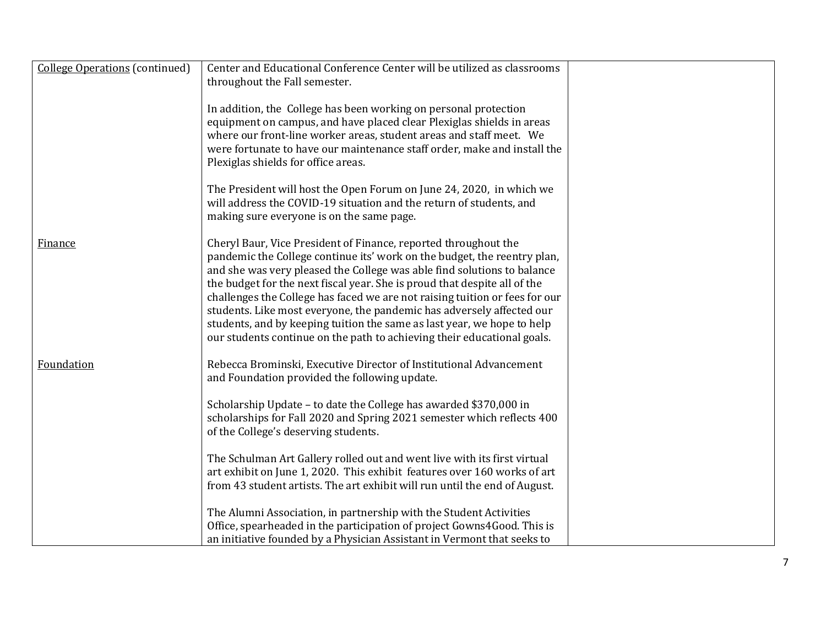| <b>College Operations (continued)</b> | Center and Educational Conference Center will be utilized as classrooms                                                                                                                                                                                                                                                                                                                                                                                                                                                                                                                                           |  |
|---------------------------------------|-------------------------------------------------------------------------------------------------------------------------------------------------------------------------------------------------------------------------------------------------------------------------------------------------------------------------------------------------------------------------------------------------------------------------------------------------------------------------------------------------------------------------------------------------------------------------------------------------------------------|--|
|                                       | throughout the Fall semester.                                                                                                                                                                                                                                                                                                                                                                                                                                                                                                                                                                                     |  |
|                                       | In addition, the College has been working on personal protection<br>equipment on campus, and have placed clear Plexiglas shields in areas<br>where our front-line worker areas, student areas and staff meet. We<br>were fortunate to have our maintenance staff order, make and install the<br>Plexiglas shields for office areas.                                                                                                                                                                                                                                                                               |  |
|                                       | The President will host the Open Forum on June 24, 2020, in which we<br>will address the COVID-19 situation and the return of students, and<br>making sure everyone is on the same page.                                                                                                                                                                                                                                                                                                                                                                                                                          |  |
| Finance                               | Cheryl Baur, Vice President of Finance, reported throughout the<br>pandemic the College continue its' work on the budget, the reentry plan,<br>and she was very pleased the College was able find solutions to balance<br>the budget for the next fiscal year. She is proud that despite all of the<br>challenges the College has faced we are not raising tuition or fees for our<br>students. Like most everyone, the pandemic has adversely affected our<br>students, and by keeping tuition the same as last year, we hope to help<br>our students continue on the path to achieving their educational goals. |  |
| Foundation                            | Rebecca Brominski, Executive Director of Institutional Advancement<br>and Foundation provided the following update.                                                                                                                                                                                                                                                                                                                                                                                                                                                                                               |  |
|                                       | Scholarship Update - to date the College has awarded \$370,000 in<br>scholarships for Fall 2020 and Spring 2021 semester which reflects 400<br>of the College's deserving students.                                                                                                                                                                                                                                                                                                                                                                                                                               |  |
|                                       | The Schulman Art Gallery rolled out and went live with its first virtual<br>art exhibit on June 1, 2020. This exhibit features over 160 works of art<br>from 43 student artists. The art exhibit will run until the end of August.                                                                                                                                                                                                                                                                                                                                                                                |  |
|                                       | The Alumni Association, in partnership with the Student Activities<br>Office, spearheaded in the participation of project Gowns4Good. This is<br>an initiative founded by a Physician Assistant in Vermont that seeks to                                                                                                                                                                                                                                                                                                                                                                                          |  |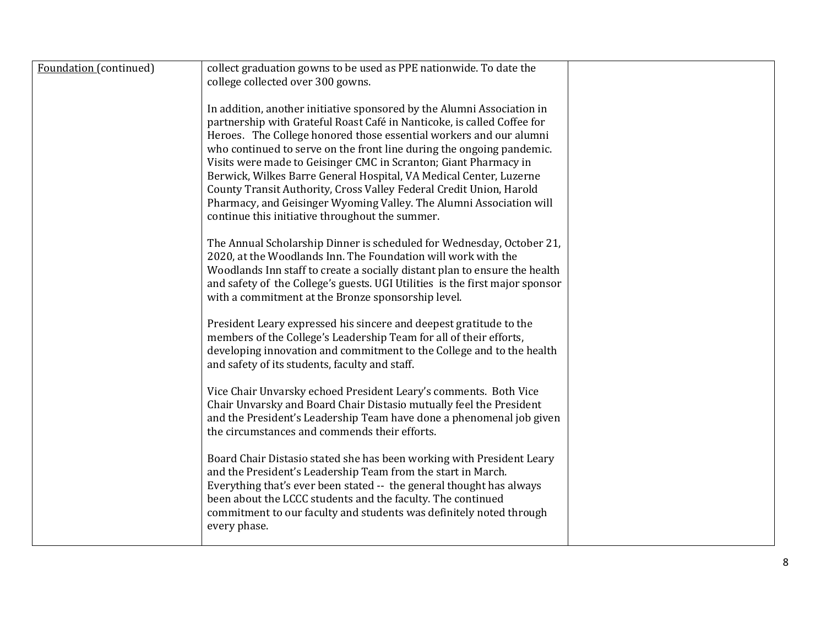| Foundation (continued) | collect graduation gowns to be used as PPE nationwide. To date the<br>college collected over 300 gowns.                                                                                                                                                                                                                                                                                                                                                                                                                                                                                                                                     |  |
|------------------------|---------------------------------------------------------------------------------------------------------------------------------------------------------------------------------------------------------------------------------------------------------------------------------------------------------------------------------------------------------------------------------------------------------------------------------------------------------------------------------------------------------------------------------------------------------------------------------------------------------------------------------------------|--|
|                        | In addition, another initiative sponsored by the Alumni Association in<br>partnership with Grateful Roast Café in Nanticoke, is called Coffee for<br>Heroes. The College honored those essential workers and our alumni<br>who continued to serve on the front line during the ongoing pandemic.<br>Visits were made to Geisinger CMC in Scranton; Giant Pharmacy in<br>Berwick, Wilkes Barre General Hospital, VA Medical Center, Luzerne<br>County Transit Authority, Cross Valley Federal Credit Union, Harold<br>Pharmacy, and Geisinger Wyoming Valley. The Alumni Association will<br>continue this initiative throughout the summer. |  |
|                        | The Annual Scholarship Dinner is scheduled for Wednesday, October 21,<br>2020, at the Woodlands Inn. The Foundation will work with the<br>Woodlands Inn staff to create a socially distant plan to ensure the health<br>and safety of the College's guests. UGI Utilities is the first major sponsor<br>with a commitment at the Bronze sponsorship level.                                                                                                                                                                                                                                                                                  |  |
|                        | President Leary expressed his sincere and deepest gratitude to the<br>members of the College's Leadership Team for all of their efforts,<br>developing innovation and commitment to the College and to the health<br>and safety of its students, faculty and staff.                                                                                                                                                                                                                                                                                                                                                                         |  |
|                        | Vice Chair Unvarsky echoed President Leary's comments. Both Vice<br>Chair Unvarsky and Board Chair Distasio mutually feel the President<br>and the President's Leadership Team have done a phenomenal job given<br>the circumstances and commends their efforts.                                                                                                                                                                                                                                                                                                                                                                            |  |
|                        | Board Chair Distasio stated she has been working with President Leary<br>and the President's Leadership Team from the start in March.<br>Everything that's ever been stated -- the general thought has always<br>been about the LCCC students and the faculty. The continued<br>commitment to our faculty and students was definitely noted through<br>every phase.                                                                                                                                                                                                                                                                         |  |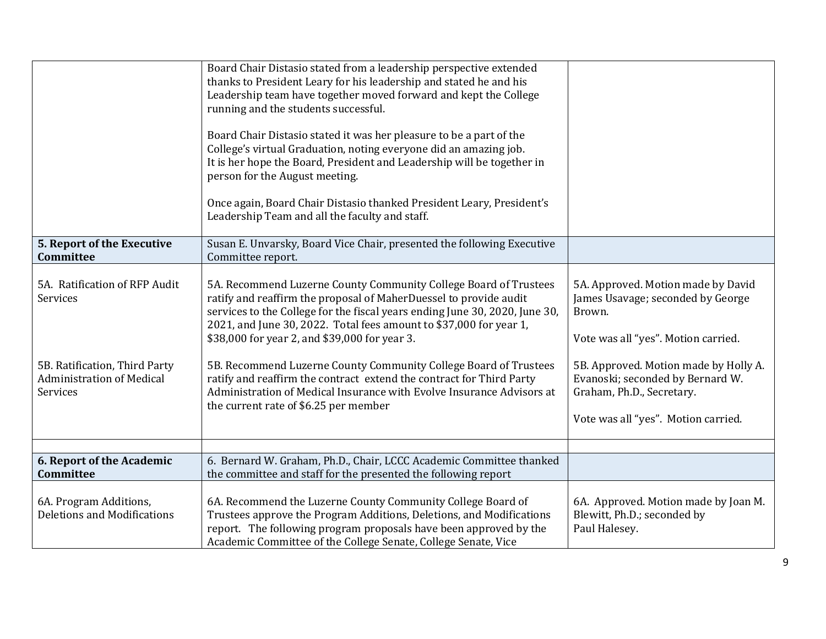|                                                                               | Board Chair Distasio stated from a leadership perspective extended<br>thanks to President Leary for his leadership and stated he and his<br>Leadership team have together moved forward and kept the College<br>running and the students successful.                                                                                        |                                                                                                                                               |
|-------------------------------------------------------------------------------|---------------------------------------------------------------------------------------------------------------------------------------------------------------------------------------------------------------------------------------------------------------------------------------------------------------------------------------------|-----------------------------------------------------------------------------------------------------------------------------------------------|
|                                                                               | Board Chair Distasio stated it was her pleasure to be a part of the<br>College's virtual Graduation, noting everyone did an amazing job.<br>It is her hope the Board, President and Leadership will be together in<br>person for the August meeting.                                                                                        |                                                                                                                                               |
|                                                                               | Once again, Board Chair Distasio thanked President Leary, President's<br>Leadership Team and all the faculty and staff.                                                                                                                                                                                                                     |                                                                                                                                               |
| 5. Report of the Executive<br>Committee                                       | Susan E. Unvarsky, Board Vice Chair, presented the following Executive<br>Committee report.                                                                                                                                                                                                                                                 |                                                                                                                                               |
| 5A. Ratification of RFP Audit<br>Services                                     | 5A. Recommend Luzerne County Community College Board of Trustees<br>ratify and reaffirm the proposal of MaherDuessel to provide audit<br>services to the College for the fiscal years ending June 30, 2020, June 30,<br>2021, and June 30, 2022. Total fees amount to \$37,000 for year 1,<br>\$38,000 for year 2, and \$39,000 for year 3. | 5A. Approved. Motion made by David<br>James Usavage; seconded by George<br>Brown.<br>Vote was all "yes". Motion carried.                      |
| 5B. Ratification, Third Party<br><b>Administration of Medical</b><br>Services | 5B. Recommend Luzerne County Community College Board of Trustees<br>ratify and reaffirm the contract extend the contract for Third Party<br>Administration of Medical Insurance with Evolve Insurance Advisors at<br>the current rate of \$6.25 per member                                                                                  | 5B. Approved. Motion made by Holly A.<br>Evanoski; seconded by Bernard W.<br>Graham, Ph.D., Secretary.<br>Vote was all "yes". Motion carried. |
|                                                                               |                                                                                                                                                                                                                                                                                                                                             |                                                                                                                                               |
| 6. Report of the Academic<br>Committee                                        | 6. Bernard W. Graham, Ph.D., Chair, LCCC Academic Committee thanked<br>the committee and staff for the presented the following report                                                                                                                                                                                                       |                                                                                                                                               |
| 6A. Program Additions,<br>Deletions and Modifications                         | 6A. Recommend the Luzerne County Community College Board of<br>Trustees approve the Program Additions, Deletions, and Modifications<br>report. The following program proposals have been approved by the<br>Academic Committee of the College Senate, College Senate, Vice                                                                  | 6A. Approved. Motion made by Joan M.<br>Blewitt, Ph.D.; seconded by<br>Paul Halesey.                                                          |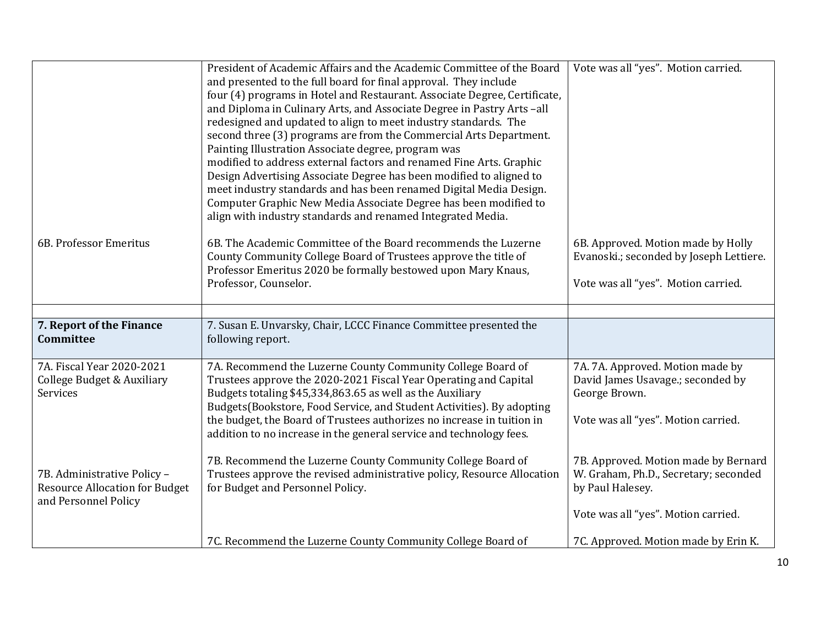|                                                                                              | President of Academic Affairs and the Academic Committee of the Board<br>and presented to the full board for final approval. They include<br>four (4) programs in Hotel and Restaurant. Associate Degree, Certificate,<br>and Diploma in Culinary Arts, and Associate Degree in Pastry Arts-all<br>redesigned and updated to align to meet industry standards. The<br>second three (3) programs are from the Commercial Arts Department.<br>Painting Illustration Associate degree, program was<br>modified to address external factors and renamed Fine Arts. Graphic<br>Design Advertising Associate Degree has been modified to aligned to<br>meet industry standards and has been renamed Digital Media Design.<br>Computer Graphic New Media Associate Degree has been modified to<br>align with industry standards and renamed Integrated Media. | Vote was all "yes". Motion carried.                                                                                                      |
|----------------------------------------------------------------------------------------------|--------------------------------------------------------------------------------------------------------------------------------------------------------------------------------------------------------------------------------------------------------------------------------------------------------------------------------------------------------------------------------------------------------------------------------------------------------------------------------------------------------------------------------------------------------------------------------------------------------------------------------------------------------------------------------------------------------------------------------------------------------------------------------------------------------------------------------------------------------|------------------------------------------------------------------------------------------------------------------------------------------|
| 6B. Professor Emeritus                                                                       | 6B. The Academic Committee of the Board recommends the Luzerne<br>County Community College Board of Trustees approve the title of<br>Professor Emeritus 2020 be formally bestowed upon Mary Knaus,<br>Professor, Counselor.                                                                                                                                                                                                                                                                                                                                                                                                                                                                                                                                                                                                                            | 6B. Approved. Motion made by Holly<br>Evanoski.; seconded by Joseph Lettiere.<br>Vote was all "yes". Motion carried.                     |
|                                                                                              |                                                                                                                                                                                                                                                                                                                                                                                                                                                                                                                                                                                                                                                                                                                                                                                                                                                        |                                                                                                                                          |
| 7. Report of the Finance<br>Committee                                                        | 7. Susan E. Unvarsky, Chair, LCCC Finance Committee presented the<br>following report.                                                                                                                                                                                                                                                                                                                                                                                                                                                                                                                                                                                                                                                                                                                                                                 |                                                                                                                                          |
| 7A. Fiscal Year 2020-2021<br>College Budget & Auxiliary<br>Services                          | 7A. Recommend the Luzerne County Community College Board of<br>Trustees approve the 2020-2021 Fiscal Year Operating and Capital<br>Budgets totaling \$45,334,863.65 as well as the Auxiliary<br>Budgets (Bookstore, Food Service, and Student Activities). By adopting<br>the budget, the Board of Trustees authorizes no increase in tuition in<br>addition to no increase in the general service and technology fees.                                                                                                                                                                                                                                                                                                                                                                                                                                | 7A. 7A. Approved. Motion made by<br>David James Usavage.; seconded by<br>George Brown.<br>Vote was all "yes". Motion carried.            |
| 7B. Administrative Policy -<br><b>Resource Allocation for Budget</b><br>and Personnel Policy | 7B. Recommend the Luzerne County Community College Board of<br>Trustees approve the revised administrative policy, Resource Allocation<br>for Budget and Personnel Policy.                                                                                                                                                                                                                                                                                                                                                                                                                                                                                                                                                                                                                                                                             | 7B. Approved. Motion made by Bernard<br>W. Graham, Ph.D., Secretary; seconded<br>by Paul Halesey.<br>Vote was all "yes". Motion carried. |
|                                                                                              | 7C. Recommend the Luzerne County Community College Board of                                                                                                                                                                                                                                                                                                                                                                                                                                                                                                                                                                                                                                                                                                                                                                                            | 7C. Approved. Motion made by Erin K.                                                                                                     |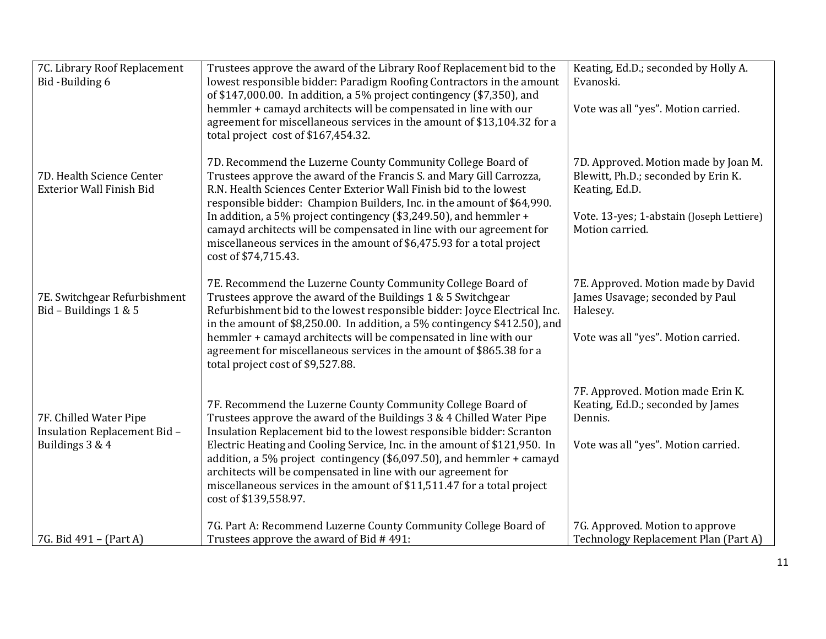| 7C. Library Roof Replacement<br>Bid-Building 6                           | Trustees approve the award of the Library Roof Replacement bid to the<br>lowest responsible bidder: Paradigm Roofing Contractors in the amount<br>of \$147,000.00. In addition, a 5% project contingency (\$7,350), and<br>hemmler + camayd architects will be compensated in line with our<br>agreement for miscellaneous services in the amount of \$13,104.32 for a<br>total project cost of \$167,454.32.                                                                                                                           | Keating, Ed.D.; seconded by Holly A.<br>Evanoski.<br>Vote was all "yes". Motion carried.                                                                      |
|--------------------------------------------------------------------------|-----------------------------------------------------------------------------------------------------------------------------------------------------------------------------------------------------------------------------------------------------------------------------------------------------------------------------------------------------------------------------------------------------------------------------------------------------------------------------------------------------------------------------------------|---------------------------------------------------------------------------------------------------------------------------------------------------------------|
| 7D. Health Science Center<br><b>Exterior Wall Finish Bid</b>             | 7D. Recommend the Luzerne County Community College Board of<br>Trustees approve the award of the Francis S. and Mary Gill Carrozza,<br>R.N. Health Sciences Center Exterior Wall Finish bid to the lowest<br>responsible bidder: Champion Builders, Inc. in the amount of \$64,990.<br>In addition, a 5% project contingency (\$3,249.50), and hemmler +<br>camayd architects will be compensated in line with our agreement for<br>miscellaneous services in the amount of \$6,475.93 for a total project<br>cost of \$74,715.43.      | 7D. Approved. Motion made by Joan M.<br>Blewitt, Ph.D.; seconded by Erin K.<br>Keating, Ed.D.<br>Vote. 13-yes; 1-abstain (Joseph Lettiere)<br>Motion carried. |
| 7E. Switchgear Refurbishment<br>Bid - Buildings 1 & 5                    | 7E. Recommend the Luzerne County Community College Board of<br>Trustees approve the award of the Buildings 1 & 5 Switchgear<br>Refurbishment bid to the lowest responsible bidder: Joyce Electrical Inc.<br>in the amount of \$8,250.00. In addition, a 5% contingency \$412.50), and<br>hemmler + camayd architects will be compensated in line with our<br>agreement for miscellaneous services in the amount of \$865.38 for a<br>total project cost of \$9,527.88.                                                                  | 7E. Approved. Motion made by David<br>James Usavage; seconded by Paul<br>Halesey.<br>Vote was all "yes". Motion carried.                                      |
| 7F. Chilled Water Pipe<br>Insulation Replacement Bid-<br>Buildings 3 & 4 | 7F. Recommend the Luzerne County Community College Board of<br>Trustees approve the award of the Buildings 3 & 4 Chilled Water Pipe<br>Insulation Replacement bid to the lowest responsible bidder: Scranton<br>Electric Heating and Cooling Service, Inc. in the amount of \$121,950. In<br>addition, a 5% project contingency (\$6,097.50), and hemmler + camayd<br>architects will be compensated in line with our agreement for<br>miscellaneous services in the amount of \$11,511.47 for a total project<br>cost of \$139,558.97. | 7F. Approved. Motion made Erin K.<br>Keating, Ed.D.; seconded by James<br>Dennis.<br>Vote was all "yes". Motion carried.                                      |
| 7G. Bid 491 – (Part A)                                                   | 7G. Part A: Recommend Luzerne County Community College Board of<br>Trustees approve the award of Bid #491:                                                                                                                                                                                                                                                                                                                                                                                                                              | 7G. Approved. Motion to approve<br>Technology Replacement Plan (Part A)                                                                                       |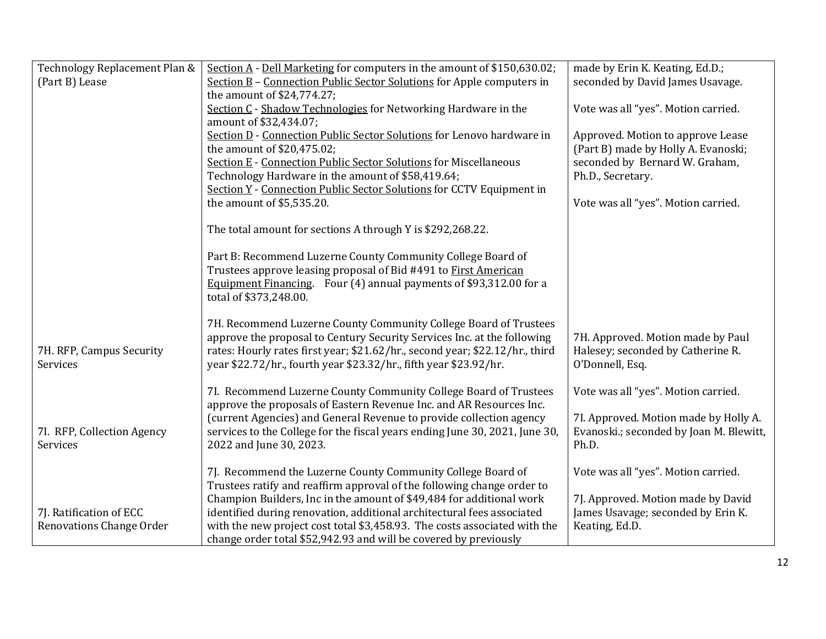| Technology Replacement Plan &          | Section A - Dell Marketing for computers in the amount of \$150,630.02;                                                                 | made by Erin K. Keating, Ed.D.;                                                  |
|----------------------------------------|-----------------------------------------------------------------------------------------------------------------------------------------|----------------------------------------------------------------------------------|
| (Part B) Lease                         | Section B - Connection Public Sector Solutions for Apple computers in                                                                   | seconded by David James Usavage.                                                 |
|                                        | the amount of \$24,774.27;                                                                                                              |                                                                                  |
|                                        | Section C - Shadow Technologies for Networking Hardware in the                                                                          | Vote was all "yes". Motion carried.                                              |
|                                        | amount of \$32,434.07;                                                                                                                  |                                                                                  |
|                                        | Section D - Connection Public Sector Solutions for Lenovo hardware in                                                                   | Approved. Motion to approve Lease                                                |
|                                        | the amount of \$20,475.02;                                                                                                              | (Part B) made by Holly A. Evanoski;                                              |
|                                        | <b>Section E - Connection Public Sector Solutions for Miscellaneous</b>                                                                 | seconded by Bernard W. Graham,                                                   |
|                                        | Technology Hardware in the amount of \$58,419.64;                                                                                       | Ph.D., Secretary.                                                                |
|                                        | Section Y - Connection Public Sector Solutions for CCTV Equipment in                                                                    |                                                                                  |
|                                        | the amount of \$5,535.20.                                                                                                               | Vote was all "yes". Motion carried.                                              |
|                                        |                                                                                                                                         |                                                                                  |
|                                        | The total amount for sections A through Y is \$292,268.22.                                                                              |                                                                                  |
|                                        |                                                                                                                                         |                                                                                  |
|                                        | Part B: Recommend Luzerne County Community College Board of                                                                             |                                                                                  |
|                                        | Trustees approve leasing proposal of Bid #491 to First American                                                                         |                                                                                  |
|                                        | Equipment Financing. Four (4) annual payments of \$93,312.00 for a                                                                      |                                                                                  |
|                                        | total of \$373,248.00.                                                                                                                  |                                                                                  |
|                                        |                                                                                                                                         |                                                                                  |
|                                        | 7H. Recommend Luzerne County Community College Board of Trustees                                                                        |                                                                                  |
|                                        | approve the proposal to Century Security Services Inc. at the following                                                                 | 7H. Approved. Motion made by Paul                                                |
| 7H. RFP, Campus Security               | rates: Hourly rates first year; \$21.62/hr., second year; \$22.12/hr., third                                                            | Halesey; seconded by Catherine R.                                                |
| Services                               | year \$22.72/hr., fourth year \$23.32/hr., fifth year \$23.92/hr.                                                                       | O'Donnell, Esq.                                                                  |
|                                        |                                                                                                                                         |                                                                                  |
|                                        | 7I. Recommend Luzerne County Community College Board of Trustees<br>approve the proposals of Eastern Revenue Inc. and AR Resources Inc. | Vote was all "yes". Motion carried.                                              |
|                                        |                                                                                                                                         |                                                                                  |
|                                        | (current Agencies) and General Revenue to provide collection agency                                                                     | 7I. Approved. Motion made by Holly A.<br>Evanoski.; seconded by Joan M. Blewitt, |
| 7I. RFP, Collection Agency<br>Services | services to the College for the fiscal years ending June 30, 2021, June 30,                                                             | Ph.D.                                                                            |
|                                        | 2022 and June 30, 2023.                                                                                                                 |                                                                                  |
|                                        | 7J. Recommend the Luzerne County Community College Board of                                                                             | Vote was all "yes". Motion carried.                                              |
|                                        | Trustees ratify and reaffirm approval of the following change order to                                                                  |                                                                                  |
|                                        | Champion Builders, Inc in the amount of \$49,484 for additional work                                                                    | 7J. Approved. Motion made by David                                               |
| 7J. Ratification of ECC                | identified during renovation, additional architectural fees associated                                                                  | James Usavage; seconded by Erin K.                                               |
| Renovations Change Order               | with the new project cost total \$3,458.93. The costs associated with the                                                               | Keating, Ed.D.                                                                   |
|                                        | change order total \$52,942.93 and will be covered by previously                                                                        |                                                                                  |
|                                        |                                                                                                                                         |                                                                                  |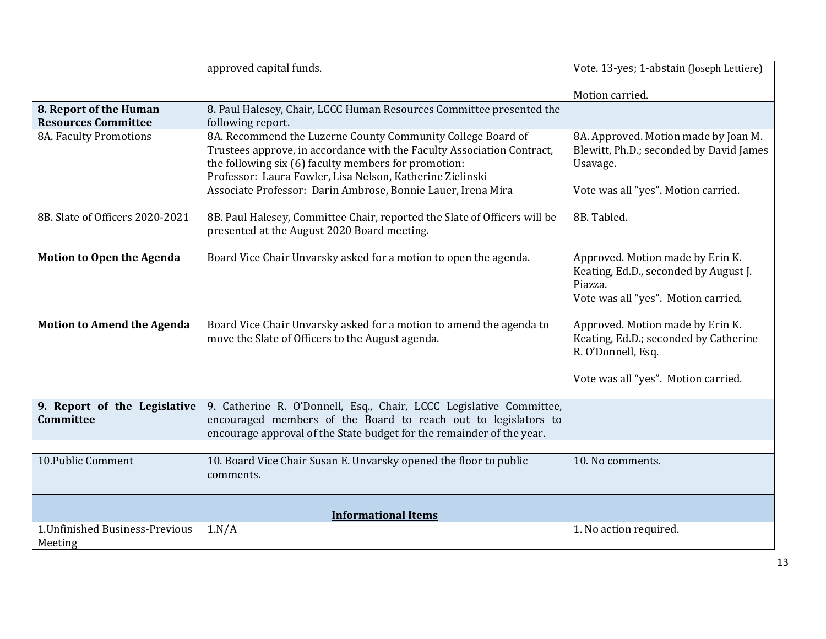|                                                      | approved capital funds.                                                                                                                                                                                                                                                                                                    | Vote. 13-yes; 1-abstain (Joseph Lettiere)                                                                                              |
|------------------------------------------------------|----------------------------------------------------------------------------------------------------------------------------------------------------------------------------------------------------------------------------------------------------------------------------------------------------------------------------|----------------------------------------------------------------------------------------------------------------------------------------|
|                                                      |                                                                                                                                                                                                                                                                                                                            | Motion carried.                                                                                                                        |
| 8. Report of the Human<br><b>Resources Committee</b> | 8. Paul Halesey, Chair, LCCC Human Resources Committee presented the<br>following report.                                                                                                                                                                                                                                  |                                                                                                                                        |
| 8A. Faculty Promotions                               | 8A. Recommend the Luzerne County Community College Board of<br>Trustees approve, in accordance with the Faculty Association Contract,<br>the following six (6) faculty members for promotion:<br>Professor: Laura Fowler, Lisa Nelson, Katherine Zielinski<br>Associate Professor: Darin Ambrose, Bonnie Lauer, Irena Mira | 8A. Approved. Motion made by Joan M.<br>Blewitt, Ph.D.; seconded by David James<br>Usavage.<br>Vote was all "yes". Motion carried.     |
| 8B. Slate of Officers 2020-2021                      | 8B. Paul Halesey, Committee Chair, reported the Slate of Officers will be<br>presented at the August 2020 Board meeting.                                                                                                                                                                                                   | 8B. Tabled.                                                                                                                            |
| <b>Motion to Open the Agenda</b>                     | Board Vice Chair Unvarsky asked for a motion to open the agenda.                                                                                                                                                                                                                                                           | Approved. Motion made by Erin K.<br>Keating, Ed.D., seconded by August J.<br>Piazza.<br>Vote was all "yes". Motion carried.            |
| <b>Motion to Amend the Agenda</b>                    | Board Vice Chair Unvarsky asked for a motion to amend the agenda to<br>move the Slate of Officers to the August agenda.                                                                                                                                                                                                    | Approved. Motion made by Erin K.<br>Keating, Ed.D.; seconded by Catherine<br>R. O'Donnell, Esq.<br>Vote was all "yes". Motion carried. |
| 9. Report of the Legislative<br>Committee            | 9. Catherine R. O'Donnell, Esq., Chair, LCCC Legislative Committee,<br>encouraged members of the Board to reach out to legislators to<br>encourage approval of the State budget for the remainder of the year.                                                                                                             |                                                                                                                                        |
|                                                      |                                                                                                                                                                                                                                                                                                                            |                                                                                                                                        |
| 10. Public Comment                                   | 10. Board Vice Chair Susan E. Unvarsky opened the floor to public<br>comments.                                                                                                                                                                                                                                             | 10. No comments.                                                                                                                       |
|                                                      | <b>Informational Items</b>                                                                                                                                                                                                                                                                                                 |                                                                                                                                        |
| 1. Unfinished Business-Previous<br>Meeting           | 1.N/A                                                                                                                                                                                                                                                                                                                      | 1. No action required.                                                                                                                 |